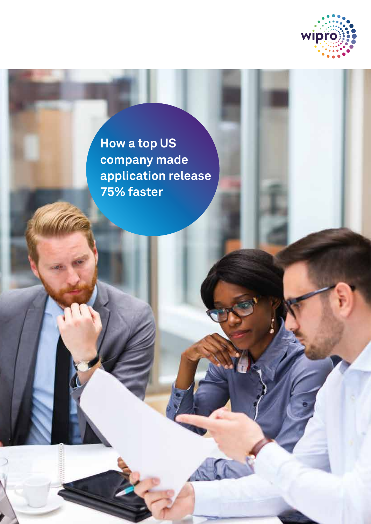

**How a top US company made application release 75% faster**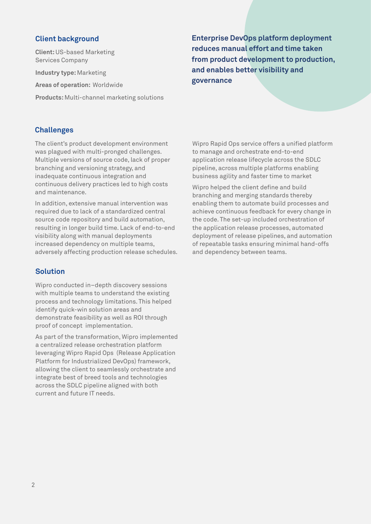**Client:** US-based Marketing Services Company

**Industry type:** Marketing

**Areas of operation:** Worldwide

**Products:** Multi-channel marketing solutions

**Client background Enterprise DevOps platform deployment reduces manual effort and time taken from product development to production, and enables better visibility and governance** 

### **Challenges**

The client's product development environment was plagued with multi-pronged challenges. Multiple versions of source code, lack of proper branching and versioning strategy, and inadequate continuous integration and continuous delivery practices led to high costs and maintenance.

In addition, extensive manual intervention was required due to lack of a standardized central source code repository and build automation, resulting in longer build time. Lack of end-to-end visibility along with manual deployments increased dependency on multiple teams, adversely affecting production release schedules.

## **Solution**

Wipro conducted in–depth discovery sessions with multiple teams to understand the existing process and technology limitations. This helped identify quick-win solution areas and demonstrate feasibility as well as ROI through proof of concept implementation.

As part of the transformation, Wipro implemented a centralized release orchestration platform leveraging Wipro Rapid Ops (Release Application Platform for Industrialized DevOps) framework, allowing the client to seamlessly orchestrate and integrate best of breed tools and technologies across the SDLC pipeline aligned with both current and future IT needs.

Wipro Rapid Ops service offers a unified platform to manage and orchestrate end-to-end application release lifecycle across the SDLC pipeline, across multiple platforms enabling business agility and faster time to market

Wipro helped the client define and build branching and merging standards thereby enabling them to automate build processes and achieve continuous feedback for every change in the code. The set-up included orchestration of the application release processes, automated deployment of release pipelines, and automation of repeatable tasks ensuring minimal hand-offs and dependency between teams.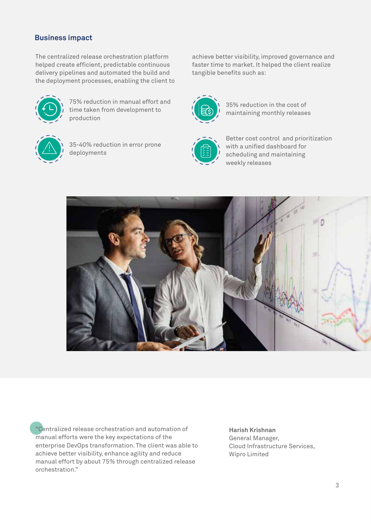# **Business impact**

The centralized release orchestration platform helped create efficient, predictable continuous delivery pipelines and automated the build and the deployment processes, enabling the client to



75% reduction in manual effort and time taken from development to production



35-40% reduction in error prone deployments

achieve better visibility, improved governance and faster time to market. It helped the client realize tangible benefits such as:



35% reduction in the cost of maintaining monthly releases



Better cost control and prioritization with a unified dashboard for scheduling and maintaining weekly releases



"Centralized release orchestration and automation of manual efforts were the key expectations of the enterprise DevOps transformation. The client was able to achieve better visibility, enhance agility and reduce manual effort by about 75% through centralized release orchestration."

**Harish Krishnan**  General Manager, Cloud Infrastructure Services, Wipro Limited